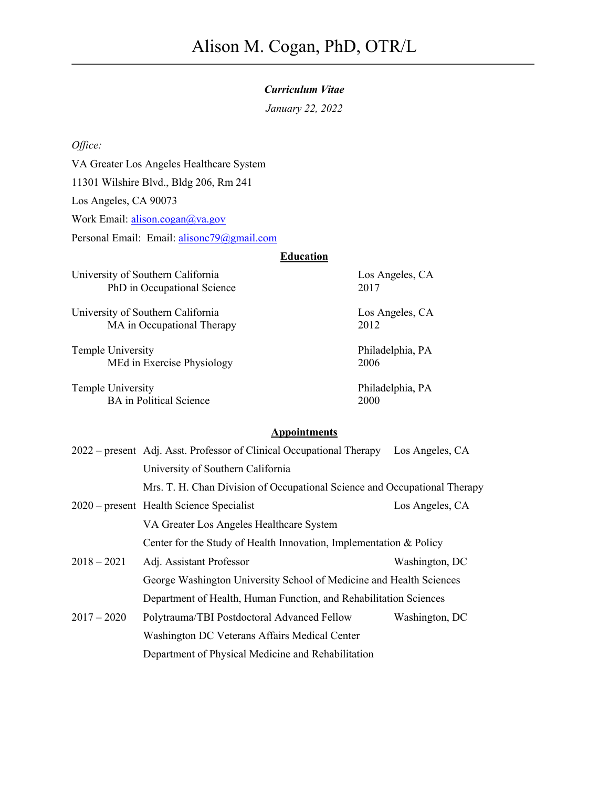## *Curriculum Vitae*

*January 22, 2022*

*Office:*

VA Greater Los Angeles Healthcare System

11301 Wilshire Blvd., Bldg 206, Rm 241

Los Angeles, CA 90073

Work Email: alison.cogan@va.gov

Personal Email: Email: alisonc79@gmail.com

# **Education**

University of Southern California Los Angeles, CA PhD in Occupational Science 2017

University of Southern California Los Angeles, CA MA in Occupational Therapy 2012

Temple University **Philadelphia**, PA MEd in Exercise Physiology 2006

Temple University **Philadelphia**, PA BA in Political Science 2000

# **Appointments**

|               | 2022 – present Adj. Asst. Professor of Clinical Occupational Therapy Los Angeles, CA |                 |  |
|---------------|--------------------------------------------------------------------------------------|-----------------|--|
|               | University of Southern California                                                    |                 |  |
|               | Mrs. T. H. Chan Division of Occupational Science and Occupational Therapy            |                 |  |
|               | $2020$ – present Health Science Specialist                                           | Los Angeles, CA |  |
|               | VA Greater Los Angeles Healthcare System                                             |                 |  |
|               | Center for the Study of Health Innovation, Implementation & Policy                   |                 |  |
| $2018 - 2021$ | Adj. Assistant Professor                                                             | Washington, DC  |  |
|               | George Washington University School of Medicine and Health Sciences                  |                 |  |
|               | Department of Health, Human Function, and Rehabilitation Sciences                    |                 |  |
| $2017 - 2020$ | Polytrauma/TBI Postdoctoral Advanced Fellow                                          | Washington, DC  |  |
|               | Washington DC Veterans Affairs Medical Center                                        |                 |  |
|               | Department of Physical Medicine and Rehabilitation                                   |                 |  |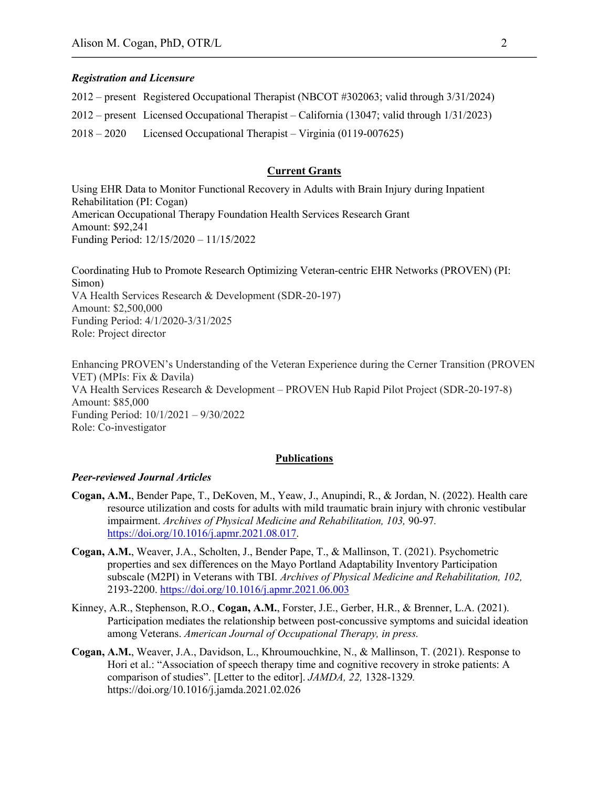### *Registration and Licensure*

2012 – present Registered Occupational Therapist (NBCOT #302063; valid through 3/31/2024) 2012 – present Licensed Occupational Therapist – California (13047; valid through 1/31/2023) 2018 – 2020 Licensed Occupational Therapist – Virginia (0119-007625)

### **Current Grants**

Using EHR Data to Monitor Functional Recovery in Adults with Brain Injury during Inpatient Rehabilitation (PI: Cogan) American Occupational Therapy Foundation Health Services Research Grant Amount: \$92,241 Funding Period: 12/15/2020 – 11/15/2022

Coordinating Hub to Promote Research Optimizing Veteran-centric EHR Networks (PROVEN) (PI: Simon) VA Health Services Research & Development (SDR-20-197) Amount: \$2,500,000 Funding Period: 4/1/2020-3/31/2025 Role: Project director

Enhancing PROVEN's Understanding of the Veteran Experience during the Cerner Transition (PROVEN VET) (MPIs: Fix & Davila) VA Health Services Research & Development – PROVEN Hub Rapid Pilot Project (SDR-20-197-8) Amount: \$85,000 Funding Period: 10/1/2021 – 9/30/2022 Role: Co-investigator

### **Publications**

### *Peer-reviewed Journal Articles*

- **Cogan, A.M.**, Bender Pape, T., DeKoven, M., Yeaw, J., Anupindi, R., & Jordan, N. (2022). Health care resource utilization and costs for adults with mild traumatic brain injury with chronic vestibular impairment. *Archives of Physical Medicine and Rehabilitation, 103,* 90-97*.*  https://doi.org/10.1016/j.apmr.2021.08.017.
- **Cogan, A.M.**, Weaver, J.A., Scholten, J., Bender Pape, T., & Mallinson, T. (2021). Psychometric properties and sex differences on the Mayo Portland Adaptability Inventory Participation subscale (M2PI) in Veterans with TBI. *Archives of Physical Medicine and Rehabilitation, 102,*  2193-2200. https://doi.org/10.1016/j.apmr.2021.06.003
- Kinney, A.R., Stephenson, R.O., **Cogan, A.M.**, Forster, J.E., Gerber, H.R., & Brenner, L.A. (2021). Participation mediates the relationship between post-concussive symptoms and suicidal ideation among Veterans. *American Journal of Occupational Therapy, in press.*
- **Cogan, A.M.**, Weaver, J.A., Davidson, L., Khroumouchkine, N., & Mallinson, T. (2021). Response to Hori et al.: "Association of speech therapy time and cognitive recovery in stroke patients: A comparison of studies". [Letter to the editor]. *JAMDA, 22,* 1328-1329*.* https://doi.org/10.1016/j.jamda.2021.02.026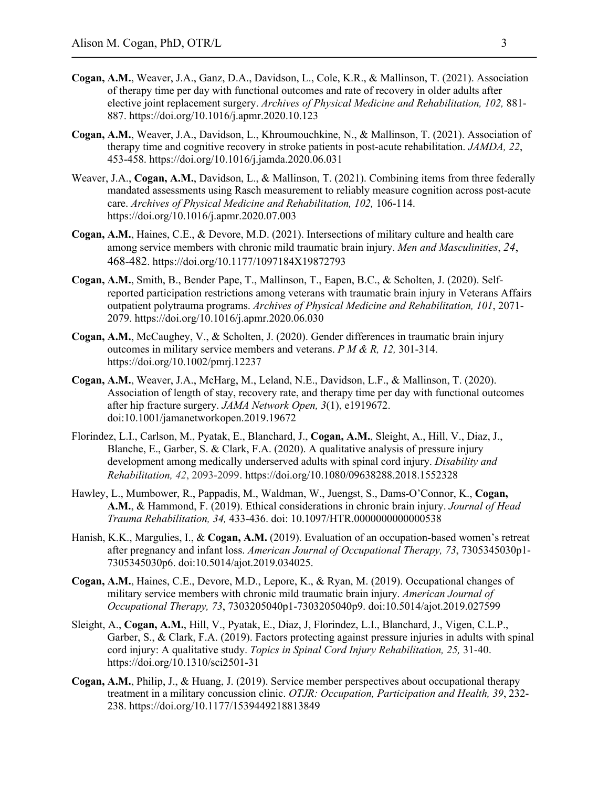- **Cogan, A.M.**, Weaver, J.A., Ganz, D.A., Davidson, L., Cole, K.R., & Mallinson, T. (2021). Association of therapy time per day with functional outcomes and rate of recovery in older adults after elective joint replacement surgery. *Archives of Physical Medicine and Rehabilitation, 102,* 881- 887. https://doi.org/10.1016/j.apmr.2020.10.123
- **Cogan, A.M.**, Weaver, J.A., Davidson, L., Khroumouchkine, N., & Mallinson, T. (2021). Association of therapy time and cognitive recovery in stroke patients in post-acute rehabilitation. *JAMDA, 22*, 453-458. https://doi.org/10.1016/j.jamda.2020.06.031
- Weaver, J.A., **Cogan, A.M.**, Davidson, L., & Mallinson, T. (2021). Combining items from three federally mandated assessments using Rasch measurement to reliably measure cognition across post-acute care. *Archives of Physical Medicine and Rehabilitation, 102,* 106-114. https://doi.org/10.1016/j.apmr.2020.07.003
- **Cogan, A.M.**, Haines, C.E., & Devore, M.D. (2021). Intersections of military culture and health care among service members with chronic mild traumatic brain injury. *Men and Masculinities*, *24*, 468-482. https://doi.org/10.1177/1097184X19872793
- **Cogan, A.M.**, Smith, B., Bender Pape, T., Mallinson, T., Eapen, B.C., & Scholten, J. (2020). Selfreported participation restrictions among veterans with traumatic brain injury in Veterans Affairs outpatient polytrauma programs. *Archives of Physical Medicine and Rehabilitation, 101*, 2071- 2079. https://doi.org/10.1016/j.apmr.2020.06.030
- **Cogan, A.M.**, McCaughey, V., & Scholten, J. (2020). Gender differences in traumatic brain injury outcomes in military service members and veterans. *P M & R, 12,* 301-314. https://doi.org/10.1002/pmrj.12237
- **Cogan, A.M.**, Weaver, J.A., McHarg, M., Leland, N.E., Davidson, L.F., & Mallinson, T. (2020). Association of length of stay, recovery rate, and therapy time per day with functional outcomes after hip fracture surgery. *JAMA Network Open, 3*(1), e1919672. doi:10.1001/jamanetworkopen.2019.19672
- Florindez, L.I., Carlson, M., Pyatak, E., Blanchard, J., **Cogan, A.M.**, Sleight, A., Hill, V., Diaz, J., Blanche, E., Garber, S. & Clark, F.A. (2020). A qualitative analysis of pressure injury development among medically underserved adults with spinal cord injury. *Disability and Rehabilitation, 42*, 2093-2099. https://doi.org/10.1080/09638288.2018.1552328
- Hawley, L., Mumbower, R., Pappadis, M., Waldman, W., Juengst, S., Dams-O'Connor, K., **Cogan, A.M.**, & Hammond, F. (2019). Ethical considerations in chronic brain injury. *Journal of Head Trauma Rehabilitation, 34,* 433-436. doi: 10.1097/HTR.0000000000000538
- Hanish, K.K., Margulies, I., & **Cogan, A.M.** (2019). Evaluation of an occupation-based women's retreat after pregnancy and infant loss. *American Journal of Occupational Therapy, 73*, 7305345030p1- 7305345030p6. doi:10.5014/ajot.2019.034025.
- **Cogan, A.M.**, Haines, C.E., Devore, M.D., Lepore, K., & Ryan, M. (2019). Occupational changes of military service members with chronic mild traumatic brain injury. *American Journal of Occupational Therapy, 73*, 7303205040p1-7303205040p9. doi:10.5014/ajot.2019.027599
- Sleight, A., **Cogan, A.M.**, Hill, V., Pyatak, E., Diaz, J, Florindez, L.I., Blanchard, J., Vigen, C.L.P., Garber, S., & Clark, F.A. (2019). Factors protecting against pressure injuries in adults with spinal cord injury: A qualitative study. *Topics in Spinal Cord Injury Rehabilitation, 25,* 31-40. https://doi.org/10.1310/sci2501-31
- **Cogan, A.M.**, Philip, J., & Huang, J. (2019). Service member perspectives about occupational therapy treatment in a military concussion clinic. *OTJR: Occupation, Participation and Health, 39*, 232- 238. https://doi.org/10.1177/1539449218813849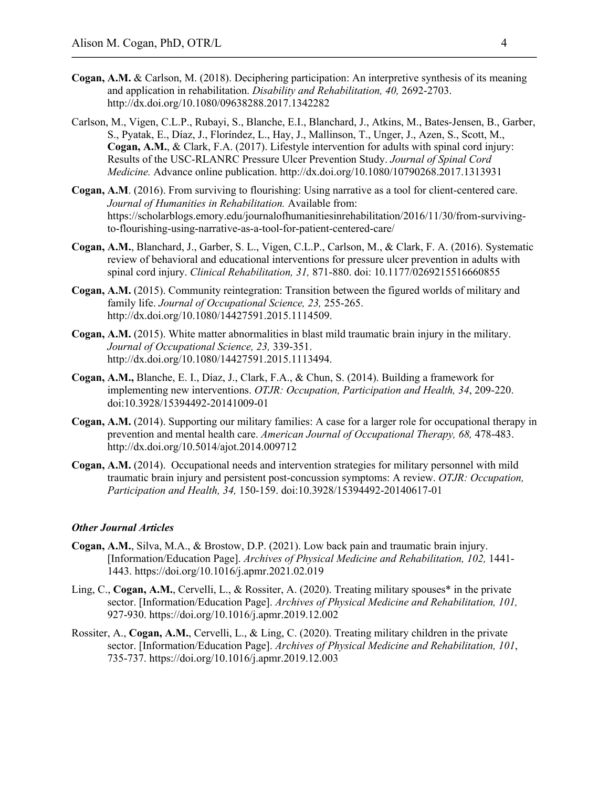- **Cogan, A.M.** & Carlson, M. (2018). Deciphering participation: An interpretive synthesis of its meaning and application in rehabilitation. *Disability and Rehabilitation, 40,* 2692-2703. http://dx.doi.org/10.1080/09638288.2017.1342282
- Carlson, M., Vigen, C.L.P., Rubayi, S., Blanche, E.I., Blanchard, J., Atkins, M., Bates-Jensen, B., Garber, S., Pyatak, E., Díaz, J., Floríndez, L., Hay, J., Mallinson, T., Unger, J., Azen, S., Scott, M., **Cogan, A.M.**, & Clark, F.A. (2017). Lifestyle intervention for adults with spinal cord injury: Results of the USC-RLANRC Pressure Ulcer Prevention Study. *Journal of Spinal Cord Medicine.* Advance online publication. http://dx.doi.org/10.1080/10790268.2017.1313931
- **Cogan, A.M**. (2016). From surviving to flourishing: Using narrative as a tool for client-centered care. *Journal of Humanities in Rehabilitation.* Available from: https://scholarblogs.emory.edu/journalofhumanitiesinrehabilitation/2016/11/30/from-survivingto-flourishing-using-narrative-as-a-tool-for-patient-centered-care/
- **Cogan, A.M.**, Blanchard, J., Garber, S. L., Vigen, C.L.P., Carlson, M., & Clark, F. A. (2016). Systematic review of behavioral and educational interventions for pressure ulcer prevention in adults with spinal cord injury. *Clinical Rehabilitation, 31,* 871-880. doi: 10.1177/0269215516660855
- **Cogan, A.M.** (2015). Community reintegration: Transition between the figured worlds of military and family life. *Journal of Occupational Science, 23,* 255-265. http://dx.doi.org/10.1080/14427591.2015.1114509.
- **Cogan, A.M.** (2015). White matter abnormalities in blast mild traumatic brain injury in the military. *Journal of Occupational Science, 23,* 339-351. http://dx.doi.org/10.1080/14427591.2015.1113494.
- **Cogan, A.M.,** Blanche, E. I., Díaz, J., Clark, F.A., & Chun, S. (2014). Building a framework for implementing new interventions. *OTJR: Occupation, Participation and Health, 34*, 209-220. doi:10.3928/15394492-20141009-01
- **Cogan, A.M.** (2014). Supporting our military families: A case for a larger role for occupational therapy in prevention and mental health care. *American Journal of Occupational Therapy, 68, 478-483.* http://dx.doi.org/10.5014/ajot.2014.009712
- **Cogan, A.M.** (2014). Occupational needs and intervention strategies for military personnel with mild traumatic brain injury and persistent post-concussion symptoms: A review. *OTJR: Occupation, Participation and Health, 34,* 150-159. doi:10.3928/15394492-20140617-01

### *Other Journal Articles*

- **Cogan, A.M.**, Silva, M.A., & Brostow, D.P. (2021). Low back pain and traumatic brain injury. [Information/Education Page]. *Archives of Physical Medicine and Rehabilitation, 102,* 1441- 1443. https://doi.org/10.1016/j.apmr.2021.02.019
- Ling, C., **Cogan, A.M.**, Cervelli, L., & Rossiter, A. (2020). Treating military spouses\* in the private sector. [Information/Education Page]. *Archives of Physical Medicine and Rehabilitation, 101,*  927-930. https://doi.org/10.1016/j.apmr.2019.12.002
- Rossiter, A., **Cogan, A.M.**, Cervelli, L., & Ling, C. (2020). Treating military children in the private sector. [Information/Education Page]. *Archives of Physical Medicine and Rehabilitation, 101*, 735-737. https://doi.org/10.1016/j.apmr.2019.12.003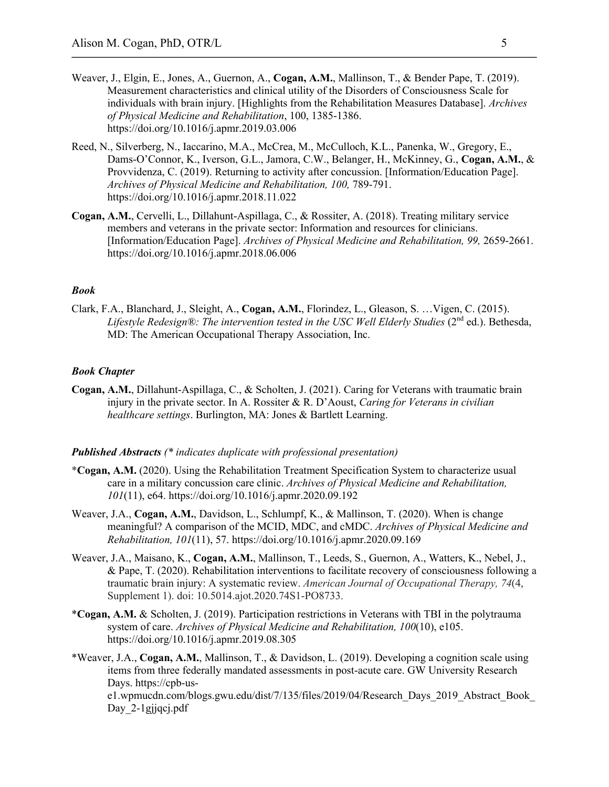- Weaver, J., Elgin, E., Jones, A., Guernon, A., **Cogan, A.M.**, Mallinson, T., & Bender Pape, T. (2019). Measurement characteristics and clinical utility of the Disorders of Consciousness Scale for individuals with brain injury. [Highlights from the Rehabilitation Measures Database]. *Archives of Physical Medicine and Rehabilitation*, 100, 1385-1386. https://doi.org/10.1016/j.apmr.2019.03.006
- Reed, N., Silverberg, N., Iaccarino, M.A., McCrea, M., McCulloch, K.L., Panenka, W., Gregory, E., Dams-O'Connor, K., Iverson, G.L., Jamora, C.W., Belanger, H., McKinney, G., **Cogan, A.M.**, & Provvidenza, C. (2019). Returning to activity after concussion. [Information/Education Page]. *Archives of Physical Medicine and Rehabilitation, 100,* 789-791. https://doi.org/10.1016/j.apmr.2018.11.022
- **Cogan, A.M.**, Cervelli, L., Dillahunt-Aspillaga, C., & Rossiter, A. (2018). Treating military service members and veterans in the private sector: Information and resources for clinicians. [Information/Education Page]. *Archives of Physical Medicine and Rehabilitation, 99,* 2659-2661. https://doi.org/10.1016/j.apmr.2018.06.006

### *Book*

Clark, F.A., Blanchard, J., Sleight, A., **Cogan, A.M.**, Florindez, L., Gleason, S. …Vigen, C. (2015). *Lifestyle Redesign®: The intervention tested in the USC Well Elderly Studies* (2nd ed.). Bethesda, MD: The American Occupational Therapy Association, Inc.

## *Book Chapter*

**Cogan, A.M.**, Dillahunt-Aspillaga, C., & Scholten, J. (2021). Caring for Veterans with traumatic brain injury in the private sector. In A. Rossiter & R. D'Aoust, *Caring for Veterans in civilian healthcare settings*. Burlington, MA: Jones & Bartlett Learning.

### *Published Abstracts (\* indicates duplicate with professional presentation)*

- \***Cogan, A.M.** (2020). Using the Rehabilitation Treatment Specification System to characterize usual care in a military concussion care clinic. *Archives of Physical Medicine and Rehabilitation, 101*(11), e64. https://doi.org/10.1016/j.apmr.2020.09.192
- Weaver, J.A., **Cogan, A.M.**, Davidson, L., Schlumpf, K., & Mallinson, T. (2020). When is change meaningful? A comparison of the MCID, MDC, and cMDC. *Archives of Physical Medicine and Rehabilitation, 101*(11), 57. https://doi.org/10.1016/j.apmr.2020.09.169
- Weaver, J.A., Maisano, K., **Cogan, A.M.**, Mallinson, T., Leeds, S., Guernon, A., Watters, K., Nebel, J., & Pape, T. (2020). Rehabilitation interventions to facilitate recovery of consciousness following a traumatic brain injury: A systematic review. *American Journal of Occupational Therapy, 74*(4, Supplement 1). doi: 10.5014.ajot.2020.74S1-PO8733.
- \***Cogan, A.M.** & Scholten, J. (2019). Participation restrictions in Veterans with TBI in the polytrauma system of care. *Archives of Physical Medicine and Rehabilitation, 100*(10), e105. https://doi.org/10.1016/j.apmr.2019.08.305
- \*Weaver, J.A., **Cogan, A.M.**, Mallinson, T., & Davidson, L. (2019). Developing a cognition scale using items from three federally mandated assessments in post-acute care. GW University Research Days. https://cpb-use1.wpmucdn.com/blogs.gwu.edu/dist/7/135/files/2019/04/Research\_Days\_2019\_Abstract\_Book\_ Day 2-1gjjqcj.pdf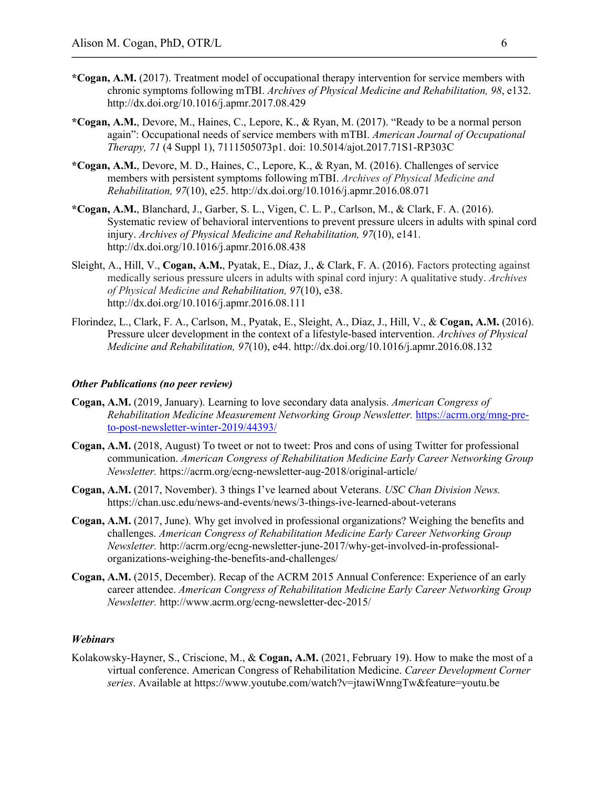- **\*Cogan, A.M.** (2017). Treatment model of occupational therapy intervention for service members with chronic symptoms following mTBI. *Archives of Physical Medicine and Rehabilitation, 98*, e132. http://dx.doi.org/10.1016/j.apmr.2017.08.429
- **\*Cogan, A.M.**, Devore, M., Haines, C., Lepore, K., & Ryan, M. (2017). "Ready to be a normal person again": Occupational needs of service members with mTBI. *American Journal of Occupational Therapy, 71* (4 Suppl 1), 7111505073p1. doi: 10.5014/ajot.2017.71S1-RP303C
- **\*Cogan, A.M.**, Devore, M. D., Haines, C., Lepore, K., & Ryan, M. (2016). Challenges of service members with persistent symptoms following mTBI. *Archives of Physical Medicine and Rehabilitation, 97*(10), e25. http://dx.doi.org/10.1016/j.apmr.2016.08.071
- **\*Cogan, A.M.**, Blanchard, J., Garber, S. L., Vigen, C. L. P., Carlson, M., & Clark, F. A. (2016). Systematic review of behavioral interventions to prevent pressure ulcers in adults with spinal cord injury. *Archives of Physical Medicine and Rehabilitation, 97*(10), e141. http://dx.doi.org/10.1016/j.apmr.2016.08.438
- Sleight, A., Hill, V., **Cogan, A.M.**, Pyatak, E., Díaz, J., & Clark, F. A. (2016). Factors protecting against medically serious pressure ulcers in adults with spinal cord injury: A qualitative study. *Archives of Physical Medicine and Rehabilitation, 97*(10), e38. http://dx.doi.org/10.1016/j.apmr.2016.08.111
- Florindez, L., Clark, F. A., Carlson, M., Pyatak, E., Sleight, A., Díaz, J., Hill, V., & **Cogan, A.M.** (2016). Pressure ulcer development in the context of a lifestyle-based intervention. *Archives of Physical Medicine and Rehabilitation, 97*(10), e44. http://dx.doi.org/10.1016/j.apmr.2016.08.132

## *Other Publications (no peer review)*

- **Cogan, A.M.** (2019, January). Learning to love secondary data analysis. *American Congress of Rehabilitation Medicine Measurement Networking Group Newsletter.* https://acrm.org/mng-preto-post-newsletter-winter-2019/44393/
- **Cogan, A.M.** (2018, August) To tweet or not to tweet: Pros and cons of using Twitter for professional communication. *American Congress of Rehabilitation Medicine Early Career Networking Group Newsletter.* https://acrm.org/ecng-newsletter-aug-2018/original-article/
- **Cogan, A.M.** (2017, November). 3 things I've learned about Veterans. *USC Chan Division News.* https://chan.usc.edu/news-and-events/news/3-things-ive-learned-about-veterans
- **Cogan, A.M.** (2017, June). Why get involved in professional organizations? Weighing the benefits and challenges. *American Congress of Rehabilitation Medicine Early Career Networking Group Newsletter.* http://acrm.org/ecng-newsletter-june-2017/why-get-involved-in-professionalorganizations-weighing-the-benefits-and-challenges/
- **Cogan, A.M.** (2015, December). Recap of the ACRM 2015 Annual Conference: Experience of an early career attendee. *American Congress of Rehabilitation Medicine Early Career Networking Group Newsletter.* http://www.acrm.org/ecng-newsletter-dec-2015/

### *Webinars*

Kolakowsky-Hayner, S., Criscione, M., & **Cogan, A.M.** (2021, February 19). How to make the most of a virtual conference. American Congress of Rehabilitation Medicine. *Career Development Corner series*. Available at https://www.youtube.com/watch?v=jtawiWnngTw&feature=youtu.be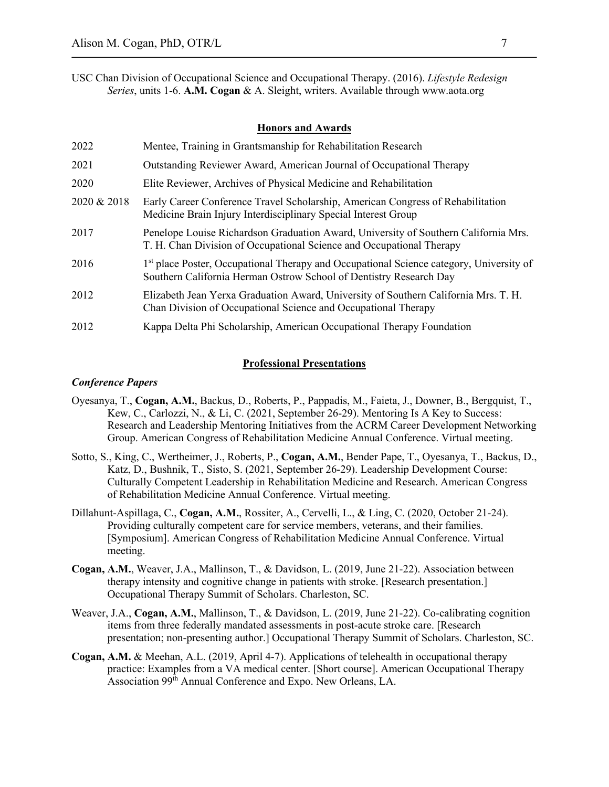USC Chan Division of Occupational Science and Occupational Therapy. (2016). *Lifestyle Redesign Series*, units 1-6. **A.M. Cogan** & A. Sleight, writers. Available through www.aota.org

## **Honors and Awards**

| 2022        | Mentee, Training in Grantsmanship for Rehabilitation Research                                                                                                             |
|-------------|---------------------------------------------------------------------------------------------------------------------------------------------------------------------------|
| 2021        | Outstanding Reviewer Award, American Journal of Occupational Therapy                                                                                                      |
| 2020        | Elite Reviewer, Archives of Physical Medicine and Rehabilitation                                                                                                          |
| 2020 & 2018 | Early Career Conference Travel Scholarship, American Congress of Rehabilitation<br>Medicine Brain Injury Interdisciplinary Special Interest Group                         |
| 2017        | Penelope Louise Richardson Graduation Award, University of Southern California Mrs.<br>T. H. Chan Division of Occupational Science and Occupational Therapy               |
| 2016        | 1 <sup>st</sup> place Poster, Occupational Therapy and Occupational Science category, University of<br>Southern California Herman Ostrow School of Dentistry Research Day |
| 2012        | Elizabeth Jean Yerxa Graduation Award, University of Southern California Mrs. T. H.<br>Chan Division of Occupational Science and Occupational Therapy                     |
| 2012        | Kappa Delta Phi Scholarship, American Occupational Therapy Foundation                                                                                                     |

### **Professional Presentations**

#### *Conference Papers*

- Oyesanya, T., **Cogan, A.M.**, Backus, D., Roberts, P., Pappadis, M., Faieta, J., Downer, B., Bergquist, T., Kew, C., Carlozzi, N., & Li, C. (2021, September 26-29). Mentoring Is A Key to Success: Research and Leadership Mentoring Initiatives from the ACRM Career Development Networking Group. American Congress of Rehabilitation Medicine Annual Conference. Virtual meeting.
- Sotto, S., King, C., Wertheimer, J., Roberts, P., **Cogan, A.M.**, Bender Pape, T., Oyesanya, T., Backus, D., Katz, D., Bushnik, T., Sisto, S. (2021, September 26-29). Leadership Development Course: Culturally Competent Leadership in Rehabilitation Medicine and Research. American Congress of Rehabilitation Medicine Annual Conference. Virtual meeting.
- Dillahunt-Aspillaga, C., **Cogan, A.M.**, Rossiter, A., Cervelli, L., & Ling, C. (2020, October 21-24). Providing culturally competent care for service members, veterans, and their families. [Symposium]. American Congress of Rehabilitation Medicine Annual Conference. Virtual meeting.
- **Cogan, A.M.**, Weaver, J.A., Mallinson, T., & Davidson, L. (2019, June 21-22). Association between therapy intensity and cognitive change in patients with stroke. [Research presentation.] Occupational Therapy Summit of Scholars. Charleston, SC.
- Weaver, J.A., Cogan, A.M., Mallinson, T., & Davidson, L. (2019, June 21-22). Co-calibrating cognition items from three federally mandated assessments in post-acute stroke care. [Research presentation; non-presenting author.] Occupational Therapy Summit of Scholars. Charleston, SC.
- **Cogan, A.M.** & Meehan, A.L. (2019, April 4-7). Applications of telehealth in occupational therapy practice: Examples from a VA medical center. [Short course]. American Occupational Therapy Association 99<sup>th</sup> Annual Conference and Expo. New Orleans, LA.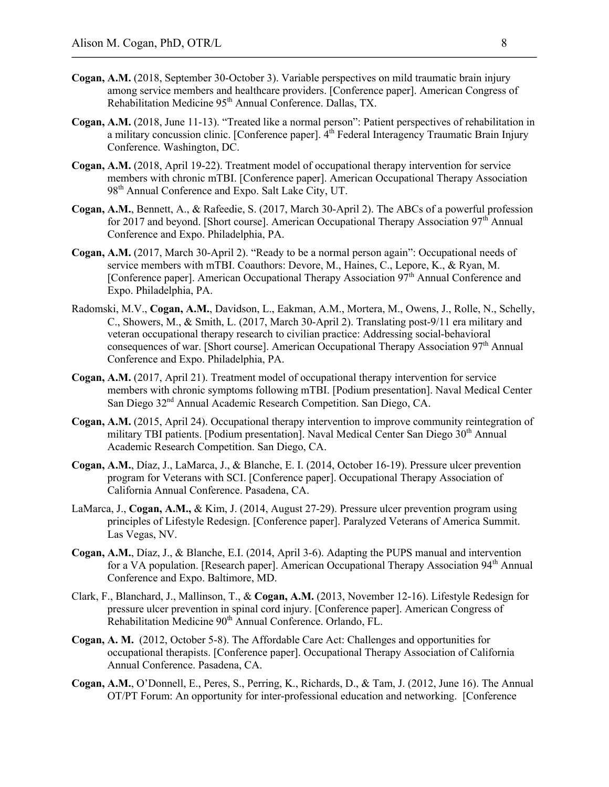- **Cogan, A.M.** (2018, September 30-October 3). Variable perspectives on mild traumatic brain injury among service members and healthcare providers. [Conference paper]. American Congress of Rehabilitation Medicine 95<sup>th</sup> Annual Conference. Dallas, TX.
- **Cogan, A.M.** (2018, June 11-13). "Treated like a normal person": Patient perspectives of rehabilitation in a military concussion clinic. [Conference paper].  $4<sup>th</sup>$  Federal Interagency Traumatic Brain Injury Conference. Washington, DC.
- **Cogan, A.M.** (2018, April 19-22). Treatment model of occupational therapy intervention for service members with chronic mTBI. [Conference paper]. American Occupational Therapy Association 98<sup>th</sup> Annual Conference and Expo. Salt Lake City, UT.
- **Cogan, A.M.**, Bennett, A., & Rafeedie, S. (2017, March 30-April 2). The ABCs of a powerful profession for 2017 and beyond. [Short course]. American Occupational Therapy Association  $97<sup>th</sup>$  Annual Conference and Expo. Philadelphia, PA.
- **Cogan, A.M.** (2017, March 30-April 2). "Ready to be a normal person again": Occupational needs of service members with mTBI. Coauthors: Devore, M., Haines, C., Lepore, K., & Ryan, M. [Conference paper]. American Occupational Therapy Association  $97<sup>th</sup>$  Annual Conference and Expo. Philadelphia, PA.
- Radomski, M.V., **Cogan, A.M.**, Davidson, L., Eakman, A.M., Mortera, M., Owens, J., Rolle, N., Schelly, C., Showers, M., & Smith, L. (2017, March 30-April 2). Translating post-9/11 era military and veteran occupational therapy research to civilian practice: Addressing social-behavioral consequences of war. [Short course]. American Occupational Therapy Association  $97<sup>th</sup>$  Annual Conference and Expo. Philadelphia, PA.
- **Cogan, A.M.** (2017, April 21). Treatment model of occupational therapy intervention for service members with chronic symptoms following mTBI. [Podium presentation]. Naval Medical Center San Diego 32<sup>nd</sup> Annual Academic Research Competition. San Diego, CA.
- **Cogan, A.M.** (2015, April 24). Occupational therapy intervention to improve community reintegration of military TBI patients. [Podium presentation]. Naval Medical Center San Diego  $30<sup>th</sup>$  Annual Academic Research Competition. San Diego, CA.
- **Cogan, A.M.**, Díaz, J., LaMarca, J., & Blanche, E. I. (2014, October 16-19). Pressure ulcer prevention program for Veterans with SCI. [Conference paper]. Occupational Therapy Association of California Annual Conference. Pasadena, CA.
- LaMarca, J., **Cogan, A.M.,** & Kim, J. (2014, August 27-29). Pressure ulcer prevention program using principles of Lifestyle Redesign. [Conference paper]. Paralyzed Veterans of America Summit. Las Vegas, NV.
- **Cogan, A.M.**, Díaz, J., & Blanche, E.I. (2014, April 3-6). Adapting the PUPS manual and intervention for a VA population. [Research paper]. American Occupational Therapy Association  $94<sup>th</sup>$  Annual Conference and Expo. Baltimore, MD.
- Clark, F., Blanchard, J., Mallinson, T., & **Cogan, A.M.** (2013, November 12-16). Lifestyle Redesign for pressure ulcer prevention in spinal cord injury. [Conference paper]. American Congress of Rehabilitation Medicine 90<sup>th</sup> Annual Conference. Orlando, FL.
- **Cogan, A. M.** (2012, October 5-8). The Affordable Care Act: Challenges and opportunities for occupational therapists. [Conference paper]. Occupational Therapy Association of California Annual Conference. Pasadena, CA.
- **Cogan, A.M.**, O'Donnell, E., Peres, S., Perring, K., Richards, D., & Tam, J. (2012, June 16). The Annual OT/PT Forum: An opportunity for inter-professional education and networking. [Conference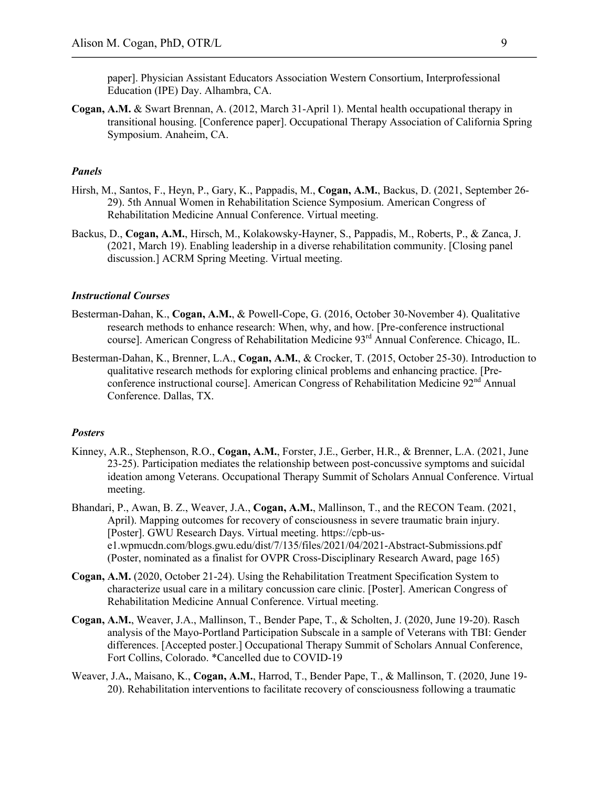paper]. Physician Assistant Educators Association Western Consortium, Interprofessional Education (IPE) Day. Alhambra, CA.

**Cogan, A.M.** & Swart Brennan, A. (2012, March 31-April 1). Mental health occupational therapy in transitional housing. [Conference paper]. Occupational Therapy Association of California Spring Symposium. Anaheim, CA.

## *Panels*

- Hirsh, M., Santos, F., Heyn, P., Gary, K., Pappadis, M., **Cogan, A.M.**, Backus, D. (2021, September 26- 29). 5th Annual Women in Rehabilitation Science Symposium. American Congress of Rehabilitation Medicine Annual Conference. Virtual meeting.
- Backus, D., **Cogan, A.M.**, Hirsch, M., Kolakowsky-Hayner, S., Pappadis, M., Roberts, P., & Zanca, J. (2021, March 19). Enabling leadership in a diverse rehabilitation community. [Closing panel discussion.] ACRM Spring Meeting. Virtual meeting.

### *Instructional Courses*

- Besterman-Dahan, K., **Cogan, A.M.**, & Powell-Cope, G. (2016, October 30-November 4). Qualitative research methods to enhance research: When, why, and how. [Pre-conference instructional course]. American Congress of Rehabilitation Medicine 93<sup>rd</sup> Annual Conference. Chicago, IL.
- Besterman-Dahan, K., Brenner, L.A., **Cogan, A.M.**, & Crocker, T. (2015, October 25-30). Introduction to qualitative research methods for exploring clinical problems and enhancing practice. [Preconference instructional course]. American Congress of Rehabilitation Medicine 92nd Annual Conference. Dallas, TX.

### *Posters*

- Kinney, A.R., Stephenson, R.O., **Cogan, A.M.**, Forster, J.E., Gerber, H.R., & Brenner, L.A. (2021, June 23-25). Participation mediates the relationship between post-concussive symptoms and suicidal ideation among Veterans. Occupational Therapy Summit of Scholars Annual Conference. Virtual meeting.
- Bhandari, P., Awan, B. Z., Weaver, J.A., **Cogan, A.M.**, Mallinson, T., and the RECON Team. (2021, April). Mapping outcomes for recovery of consciousness in severe traumatic brain injury. [Poster]. GWU Research Days. Virtual meeting. https://cpb-use1.wpmucdn.com/blogs.gwu.edu/dist/7/135/files/2021/04/2021-Abstract-Submissions.pdf (Poster, nominated as a finalist for OVPR Cross-Disciplinary Research Award, page 165)
- **Cogan, A.M.** (2020, October 21-24). Using the Rehabilitation Treatment Specification System to characterize usual care in a military concussion care clinic. [Poster]. American Congress of Rehabilitation Medicine Annual Conference. Virtual meeting.
- **Cogan, A.M.**, Weaver, J.A., Mallinson, T., Bender Pape, T., & Scholten, J. (2020, June 19-20). Rasch analysis of the Mayo-Portland Participation Subscale in a sample of Veterans with TBI: Gender differences. [Accepted poster.] Occupational Therapy Summit of Scholars Annual Conference, Fort Collins, Colorado. \*Cancelled due to COVID-19
- Weaver, J.A**.**, Maisano, K., **Cogan, A.M.**, Harrod, T., Bender Pape, T., & Mallinson, T. (2020, June 19- 20). Rehabilitation interventions to facilitate recovery of consciousness following a traumatic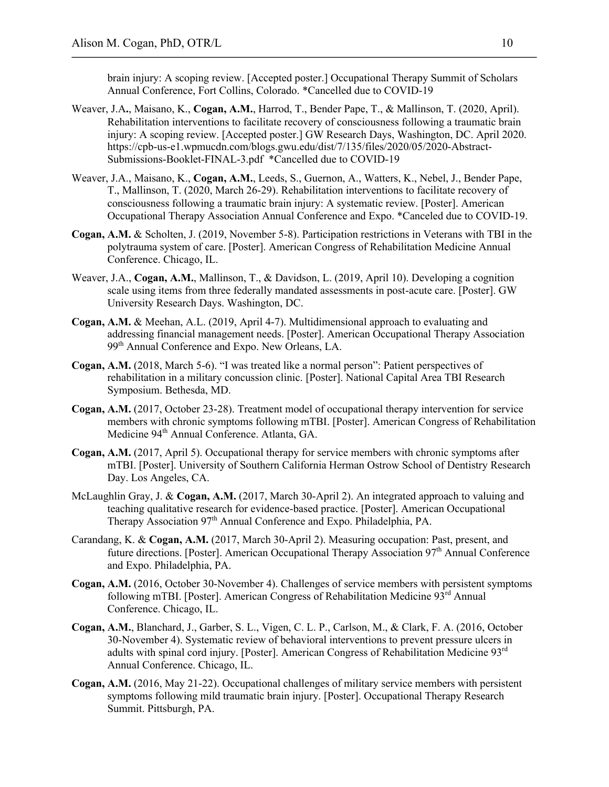brain injury: A scoping review. [Accepted poster.] Occupational Therapy Summit of Scholars Annual Conference, Fort Collins, Colorado. \*Cancelled due to COVID-19

- Weaver, J.A**.**, Maisano, K., **Cogan, A.M.**, Harrod, T., Bender Pape, T., & Mallinson, T. (2020, April). Rehabilitation interventions to facilitate recovery of consciousness following a traumatic brain injury: A scoping review. [Accepted poster.] GW Research Days, Washington, DC. April 2020. https://cpb-us-e1.wpmucdn.com/blogs.gwu.edu/dist/7/135/files/2020/05/2020-Abstract-Submissions-Booklet-FINAL-3.pdf \*Cancelled due to COVID-19
- Weaver, J.A., Maisano, K., **Cogan, A.M.**, Leeds, S., Guernon, A., Watters, K., Nebel, J., Bender Pape, T., Mallinson, T. (2020, March 26-29). Rehabilitation interventions to facilitate recovery of consciousness following a traumatic brain injury: A systematic review. [Poster]. American Occupational Therapy Association Annual Conference and Expo. \*Canceled due to COVID-19.
- **Cogan, A.M.** & Scholten, J. (2019, November 5-8). Participation restrictions in Veterans with TBI in the polytrauma system of care. [Poster]. American Congress of Rehabilitation Medicine Annual Conference. Chicago, IL.
- Weaver, J.A., **Cogan, A.M.**, Mallinson, T., & Davidson, L. (2019, April 10). Developing a cognition scale using items from three federally mandated assessments in post-acute care. [Poster]. GW University Research Days. Washington, DC.
- **Cogan, A.M.** & Meehan, A.L. (2019, April 4-7). Multidimensional approach to evaluating and addressing financial management needs. [Poster]. American Occupational Therapy Association 99th Annual Conference and Expo. New Orleans, LA.
- **Cogan, A.M.** (2018, March 5-6). "I was treated like a normal person": Patient perspectives of rehabilitation in a military concussion clinic. [Poster]. National Capital Area TBI Research Symposium. Bethesda, MD.
- **Cogan, A.M.** (2017, October 23-28). Treatment model of occupational therapy intervention for service members with chronic symptoms following mTBI. [Poster]. American Congress of Rehabilitation Medicine 94<sup>th</sup> Annual Conference. Atlanta, GA.
- **Cogan, A.M.** (2017, April 5). Occupational therapy for service members with chronic symptoms after mTBI. [Poster]. University of Southern California Herman Ostrow School of Dentistry Research Day. Los Angeles, CA.
- McLaughlin Gray, J. & **Cogan, A.M.** (2017, March 30-April 2). An integrated approach to valuing and teaching qualitative research for evidence-based practice. [Poster]. American Occupational Therapy Association 97<sup>th</sup> Annual Conference and Expo. Philadelphia, PA.
- Carandang, K. & **Cogan, A.M.** (2017, March 30-April 2). Measuring occupation: Past, present, and future directions. [Poster]. American Occupational Therapy Association 97<sup>th</sup> Annual Conference and Expo. Philadelphia, PA.
- **Cogan, A.M.** (2016, October 30-November 4). Challenges of service members with persistent symptoms following mTBI. [Poster]. American Congress of Rehabilitation Medicine  $93<sup>rd</sup>$  Annual Conference. Chicago, IL.
- **Cogan, A.M.**, Blanchard, J., Garber, S. L., Vigen, C. L. P., Carlson, M., & Clark, F. A. (2016, October 30-November 4). Systematic review of behavioral interventions to prevent pressure ulcers in adults with spinal cord injury. [Poster]. American Congress of Rehabilitation Medicine 93rd Annual Conference. Chicago, IL.
- **Cogan, A.M.** (2016, May 21-22). Occupational challenges of military service members with persistent symptoms following mild traumatic brain injury. [Poster]. Occupational Therapy Research Summit. Pittsburgh, PA.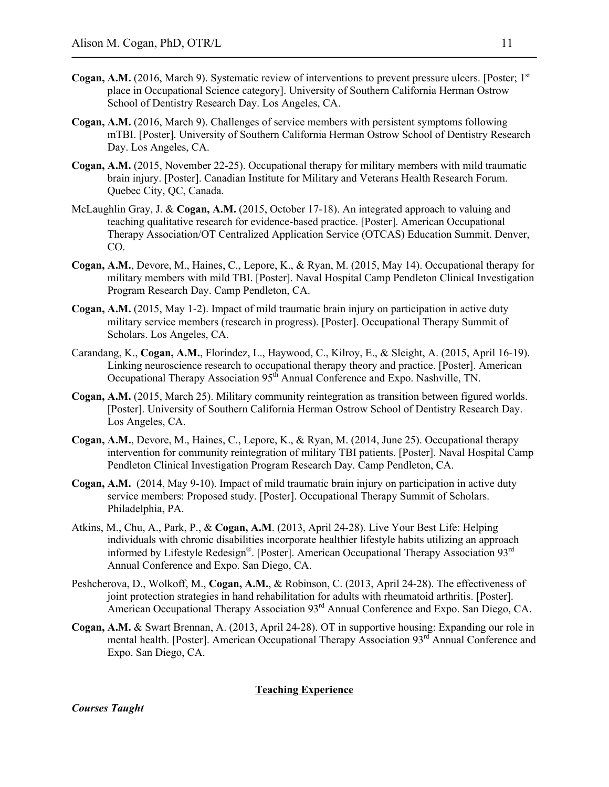- **Cogan, A.M.** (2016, March 9). Systematic review of interventions to prevent pressure ulcers. [Poster: 1<sup>st</sup>] place in Occupational Science category]. University of Southern California Herman Ostrow School of Dentistry Research Day. Los Angeles, CA.
- **Cogan, A.M.** (2016, March 9). Challenges of service members with persistent symptoms following mTBI. [Poster]. University of Southern California Herman Ostrow School of Dentistry Research Day. Los Angeles, CA.
- **Cogan, A.M.** (2015, November 22-25). Occupational therapy for military members with mild traumatic brain injury. [Poster]. Canadian Institute for Military and Veterans Health Research Forum. Quebec City, QC, Canada.
- McLaughlin Gray, J. & **Cogan, A.M.** (2015, October 17-18). An integrated approach to valuing and teaching qualitative research for evidence-based practice. [Poster]. American Occupational Therapy Association/OT Centralized Application Service (OTCAS) Education Summit. Denver, CO.
- **Cogan, A.M.**, Devore, M., Haines, C., Lepore, K., & Ryan, M. (2015, May 14). Occupational therapy for military members with mild TBI. [Poster]. Naval Hospital Camp Pendleton Clinical Investigation Program Research Day. Camp Pendleton, CA.
- **Cogan, A.M.** (2015, May 1-2). Impact of mild traumatic brain injury on participation in active duty military service members (research in progress). [Poster]. Occupational Therapy Summit of Scholars. Los Angeles, CA.
- Carandang, K., **Cogan, A.M.**, Florindez, L., Haywood, C., Kilroy, E., & Sleight, A. (2015, April 16-19). Linking neuroscience research to occupational therapy theory and practice. [Poster]. American Occupational Therapy Association 95<sup>th</sup> Annual Conference and Expo. Nashville, TN.
- **Cogan, A.M.** (2015, March 25). Military community reintegration as transition between figured worlds. [Poster]. University of Southern California Herman Ostrow School of Dentistry Research Day. Los Angeles, CA.
- **Cogan, A.M.**, Devore, M., Haines, C., Lepore, K., & Ryan, M. (2014, June 25). Occupational therapy intervention for community reintegration of military TBI patients. [Poster]. Naval Hospital Camp Pendleton Clinical Investigation Program Research Day. Camp Pendleton, CA.
- **Cogan, A.M.** (2014, May 9-10). Impact of mild traumatic brain injury on participation in active duty service members: Proposed study. [Poster]. Occupational Therapy Summit of Scholars. Philadelphia, PA.
- Atkins, M., Chu, A., Park, P., & **Cogan, A.M**. (2013, April 24-28). Live Your Best Life: Helping individuals with chronic disabilities incorporate healthier lifestyle habits utilizing an approach informed by Lifestyle Redesign®. [Poster]. American Occupational Therapy Association 93rd Annual Conference and Expo. San Diego, CA.
- Peshcherova, D., Wolkoff, M., **Cogan, A.M.**, & Robinson, C. (2013, April 24-28). The effectiveness of joint protection strategies in hand rehabilitation for adults with rheumatoid arthritis. [Poster]. American Occupational Therapy Association 93<sup>rd</sup> Annual Conference and Expo. San Diego, CA.
- **Cogan, A.M.** & Swart Brennan, A. (2013, April 24-28). OT in supportive housing: Expanding our role in mental health. [Poster]. American Occupational Therapy Association 93<sup>rd</sup> Annual Conference and Expo. San Diego, CA.

## **Teaching Experience**

*Courses Taught*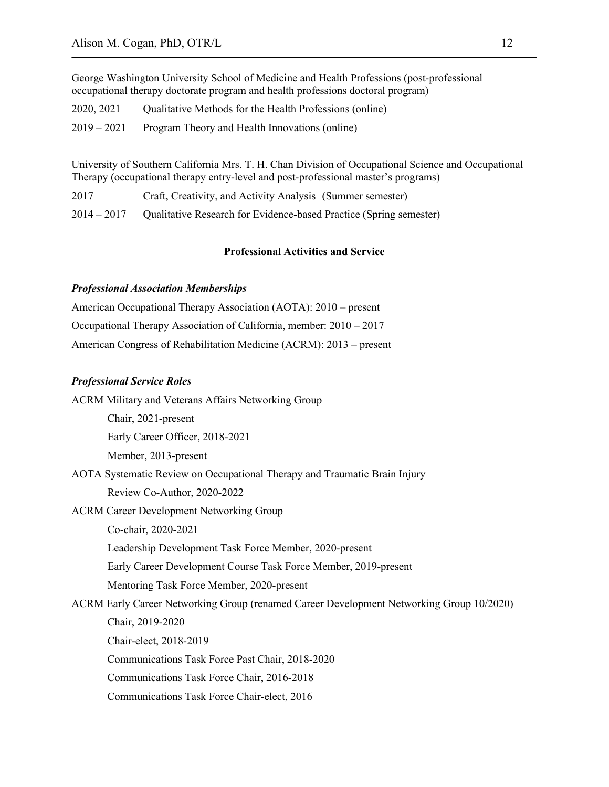George Washington University School of Medicine and Health Professions (post-professional occupational therapy doctorate program and health professions doctoral program)

| 2020, 2021 | Qualitative Methods for the Health Professions (online) |  |  |
|------------|---------------------------------------------------------|--|--|
|------------|---------------------------------------------------------|--|--|

| 2019 – 2021 |  | Program Theory and Health Innovations (online) |  |
|-------------|--|------------------------------------------------|--|
|             |  |                                                |  |

University of Southern California Mrs. T. H. Chan Division of Occupational Science and Occupational Therapy (occupational therapy entry-level and post-professional master's programs)

2017 Craft, Creativity, and Activity Analysis (Summer semester)

2014 – 2017 Qualitative Research for Evidence-based Practice (Spring semester)

# **Professional Activities and Service**

## *Professional Association Memberships*

| American Occupational Therapy Association (AOTA): 2010 – present      |
|-----------------------------------------------------------------------|
| Occupational Therapy Association of California, member: $2010 - 2017$ |
| American Congress of Rehabilitation Medicine (ACRM): 2013 – present   |

### *Professional Service Roles*

ACRM Military and Veterans Affairs Networking Group

Early Career Officer, 2018-2021

Member, 2013-present

Chair, 2021-present

AOTA Systematic Review on Occupational Therapy and Traumatic Brain Injury Review Co-Author, 2020-2022

ACRM Career Development Networking Group

Co-chair, 2020-2021

Leadership Development Task Force Member, 2020-present

Early Career Development Course Task Force Member, 2019-present

Mentoring Task Force Member, 2020-present

ACRM Early Career Networking Group (renamed Career Development Networking Group 10/2020)

Chair, 2019-2020

Chair-elect, 2018-2019

Communications Task Force Past Chair, 2018-2020

Communications Task Force Chair, 2016-2018

Communications Task Force Chair-elect, 2016